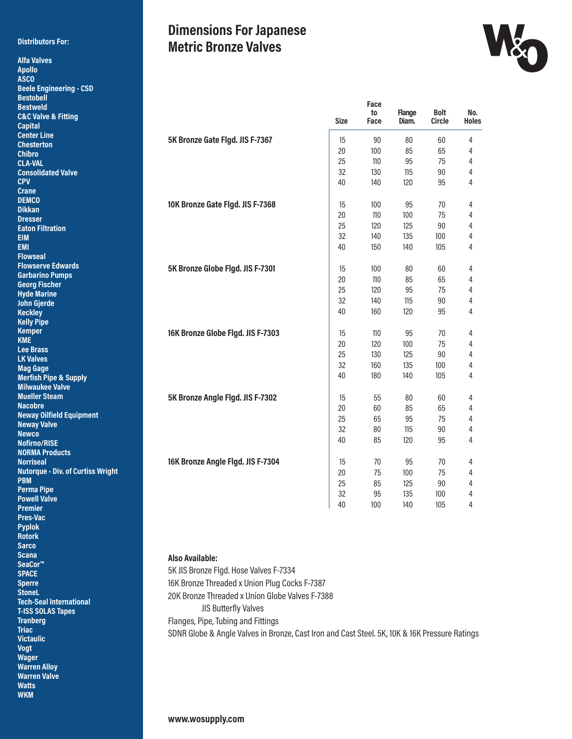#### **Distributors For:**

**Alfa Valves Apollo ASCO**

## **Dimensions For Japanese Metric Bronze Valves**



| <b>Beele Engineering - CSD</b><br><b>Bestobell</b> |                                   |             |      |               |        |              |
|----------------------------------------------------|-----------------------------------|-------------|------|---------------|--------|--------------|
| <b>Bestweld</b>                                    |                                   |             | Face |               |        |              |
| <b>C&amp;C Valve &amp; Fitting</b>                 |                                   |             | to   | <b>Flange</b> | Bolt   | No.          |
| <b>Capital</b>                                     |                                   | <b>Size</b> | Face | Diam.         | Circle | <b>Holes</b> |
| <b>Center Line</b>                                 |                                   |             |      |               |        |              |
| <b>Chesterton</b>                                  | 5K Bronze Gate Figd. JIS F-7367   | 15          | 90   | 80            | 60     | 4            |
| Chibro                                             |                                   | 20          | 100  | 85            | 65     | 4            |
| <b>CLA-VAL</b>                                     |                                   | 25          | 110  | 95            | 75     | 4            |
| <b>Consolidated Valve</b>                          |                                   | 32          | 130  | 115           | 90     | 4            |
| <b>CPV</b>                                         |                                   | 40          | 140  | 120           | 95     | 4            |
| <b>Crane</b>                                       |                                   |             |      |               |        |              |
| <b>DEMCO</b>                                       | 10K Bronze Gate Flgd. JIS F-7368  | 15          | 100  | 95            | 70     | 4            |
| <b>Dikkan</b>                                      |                                   | 20          | 110  | 100           | 75     | 4            |
| <b>Dresser</b>                                     |                                   | 25          | 120  | 125           | 90     |              |
| <b>Eaton Filtration</b>                            |                                   |             |      |               |        | 4            |
| EIM                                                |                                   | 32          | 140  | 135           | 100    | 4            |
| <b>EMI</b>                                         |                                   | 40          | 150  | 140           | 105    | 4            |
| <b>Flowseal</b>                                    |                                   |             |      |               |        |              |
| <b>Flowserve Edwards</b>                           | 5K Bronze Globe Figd. JIS F-7301  | 15          | 100  | 80            | 60     | 4            |
| <b>Garbarino Pumps</b>                             |                                   | 20          | 110  | 85            | 65     | 4            |
| <b>Georg Fischer</b><br><b>Hyde Marine</b>         |                                   | 25          | 120  | 95            | 75     | 4            |
| John Gjerde                                        |                                   | 32          | 140  | 115           | 90     | 4            |
| <b>Keckley</b>                                     |                                   | 40          | 160  | 120           | 95     | 4            |
| <b>Kelly Pipe</b>                                  |                                   |             |      |               |        |              |
| <b>Kemper</b>                                      |                                   |             |      |               |        |              |
| KME                                                | 16K Bronze Globe Flgd. JIS F-7303 | 15          | 110  | 95            | 70     | 4            |
| <b>Lee Brass</b>                                   |                                   | 20          | 120  | 100           | 75     | 4            |
| <b>LK Valves</b>                                   |                                   | 25          | 130  | 125           | 90     | 4            |
| <b>Mag Gage</b>                                    |                                   | 32          | 160  | 135           | 100    | 4            |
| <b>Merfish Pipe &amp; Supply</b>                   |                                   | 40          | 180  | 140           | 105    | 4            |
| <b>Milwaukee Valve</b>                             |                                   |             |      |               |        |              |
| <b>Mueller Steam</b>                               | 5K Bronze Angle Flgd. JIS F-7302  | 15          | 55   | 80            | 60     | 4            |
| <b>Nacobre</b>                                     |                                   | $20\,$      | 60   | 85            | 65     | 4            |
| <b>Neway Oilfield Equipment</b>                    |                                   | 25          | 65   | 95            | 75     | 4            |
| <b>Neway Valve</b>                                 |                                   | 32          | 80   | 115           | 90     | 4            |
| <b>Newco</b>                                       |                                   | 40          | 85   | 120           | 95     | 4            |
| Nofirno/RISE                                       |                                   |             |      |               |        |              |
| <b>NORMA Products</b>                              |                                   |             |      |               |        |              |
| Norriseal                                          | 16K Bronze Angle Figd. JIS F-7304 | 15          | 70   | 95            | 70     | 4            |
| Nutorque - Div. of Curtiss Wright                  |                                   | 20          | 75   | 100           | 75     | 4            |
| PBM                                                |                                   | 25          | 85   | 125           | 90     | 4            |
| Perma Pipe                                         |                                   | 32          | 95   | 135           | 100    | 4            |
| <b>Powell Valve</b><br>Premier                     |                                   | 40          | 100  | 140           | 105    | 4            |
|                                                    |                                   |             |      |               |        |              |
| Pres-Vac<br><b>Pyplok</b>                          |                                   |             |      |               |        |              |
|                                                    |                                   |             |      |               |        |              |

**Rotork Sarco Scana SeaCor™ SPACE Sperre StoneL Tech-Seal International T-ISS SOLAS Tapes Tranberg Triac Victaulic Vogt Wager Warren Alloy Warren Valve Watts WKM**

**Also Available:**  5K JIS Bronze Flgd. Hose Valves F-7334 16K Bronze Threaded x Union Plug Cocks F-7387 20K Bronze Threaded x Union Globe Valves F-7388 JIS Butterfly Valves Flanges, Pipe, Tubing and Fittings SDNR Globe & Angle Valves in Bronze, Cast Iron and Cast Steel. 5K, 10K & 16K Pressure Ratings